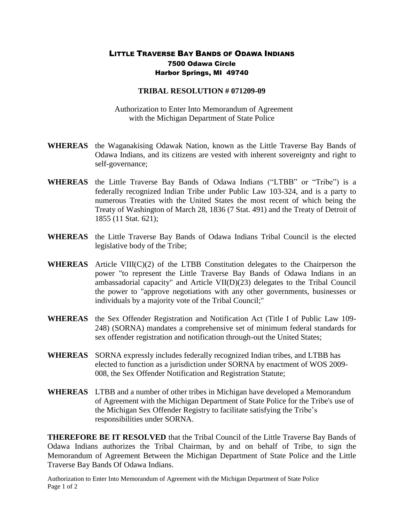## LITTLE TRAVERSE BAY BANDS OF ODAWA INDIANS 7500 Odawa Circle Harbor Springs, MI 49740

## **TRIBAL RESOLUTION # 071209-09**

 Authorization to Enter Into Memorandum of Agreement with the Michigan Department of State Police

- **WHEREAS** the Waganakising Odawak Nation, known as the Little Traverse Bay Bands of Odawa Indians, and its citizens are vested with inherent sovereignty and right to self-governance;
- **WHEREAS** the Little Traverse Bay Bands of Odawa Indians ("LTBB" or "Tribe") is a federally recognized Indian Tribe under Public Law 103-324, and is a party to numerous Treaties with the United States the most recent of which being the Treaty of Washington of March 28, 1836 (7 Stat. 491) and the Treaty of Detroit of 1855 (11 Stat. 621);
- **WHEREAS** the Little Traverse Bay Bands of Odawa Indians Tribal Council is the elected legislative body of the Tribe;
- **WHEREAS** Article VIII(C)(2) of the LTBB Constitution delegates to the Chairperson the power "to represent the Little Traverse Bay Bands of Odawa Indians in an ambassadorial capacity" and Article VII(D)(23) delegates to the Tribal Council the power to "approve negotiations with any other governments, businesses or individuals by a majority vote of the Tribal Council;"
- **WHEREAS** the Sex Offender Registration and Notification Act (Title I of Public Law 109- 248) (SORNA) mandates a comprehensive set of minimum federal standards for sex offender registration and notification through-out the United States;
- **WHEREAS** SORNA expressly includes federally recognized Indian tribes, and LTBB has elected to function as a jurisdiction under SORNA by enactment of WOS 2009- 008, the Sex Offender Notification and Registration Statute;
- **WHEREAS** LTBB and a number of other tribes in Michigan have developed a Memorandum of Agreement with the Michigan Department of State Police for the Tribe's use of the Michigan Sex Offender Registry to facilitate satisfying the Tribe's responsibilities under SORNA.

**THEREFORE BE IT RESOLVED** that the Tribal Council of the Little Traverse Bay Bands of Odawa Indians authorizes the Tribal Chairman, by and on behalf of Tribe, to sign the Memorandum of Agreement Between the Michigan Department of State Police and the Little Traverse Bay Bands Of Odawa Indians.